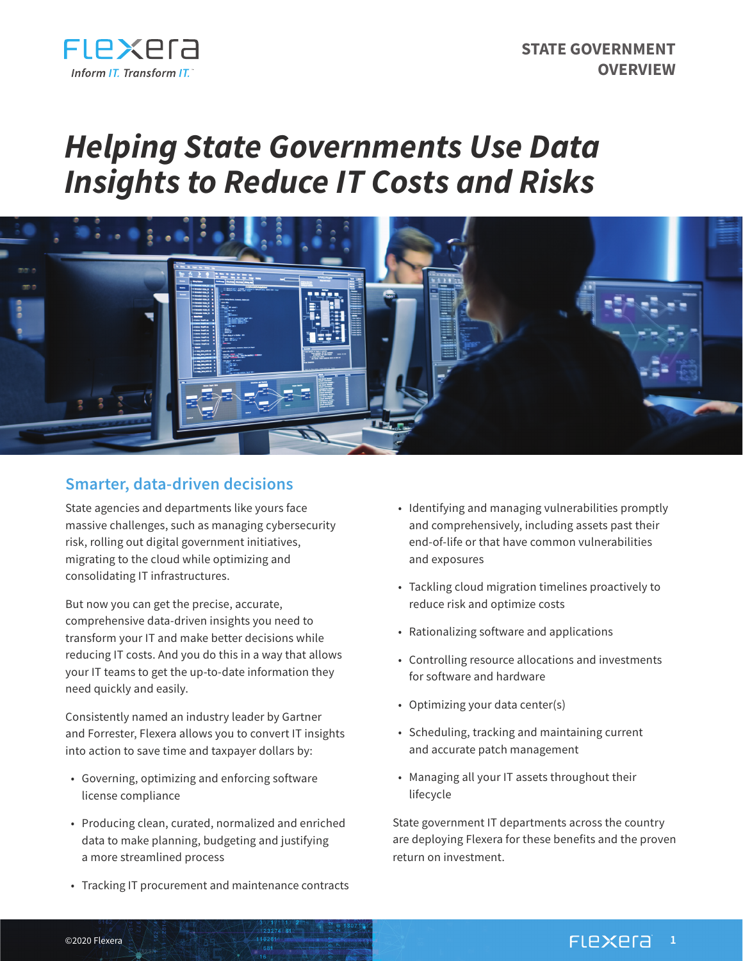

# *Helping State Governments Use Data Insights to Reduce IT Costs and Risks*



## **Smarter, data-driven decisions**

State agencies and departments like yours face massive challenges, such as managing cybersecurity risk, rolling out digital government initiatives, migrating to the cloud while optimizing and consolidating IT infrastructures.

But now you can get the precise, accurate, comprehensive data-driven insights you need to transform your IT and make better decisions while reducing IT costs. And you do this in a way that allows your IT teams to get the up-to-date information they need quickly and easily.

Consistently named an industry leader by Gartner and Forrester, Flexera allows you to convert IT insights into action to save time and taxpayer dollars by:

- Governing, optimizing and enforcing software license compliance
- Producing clean, curated, normalized and enriched data to make planning, budgeting and justifying a more streamlined process
- Tracking IT procurement and maintenance contracts
- Identifying and managing vulnerabilities promptly and comprehensively, including assets past their end-of-life or that have common vulnerabilities and exposures
- Tackling cloud migration timelines proactively to reduce risk and optimize costs
- Rationalizing software and applications
- Controlling resource allocations and investments for software and hardware
- Optimizing your data center(s)
- Scheduling, tracking and maintaining current and accurate patch management
- Managing all your IT assets throughout their lifecycle

State government IT departments across the country are deploying Flexera for these benefits and the proven return on investment.